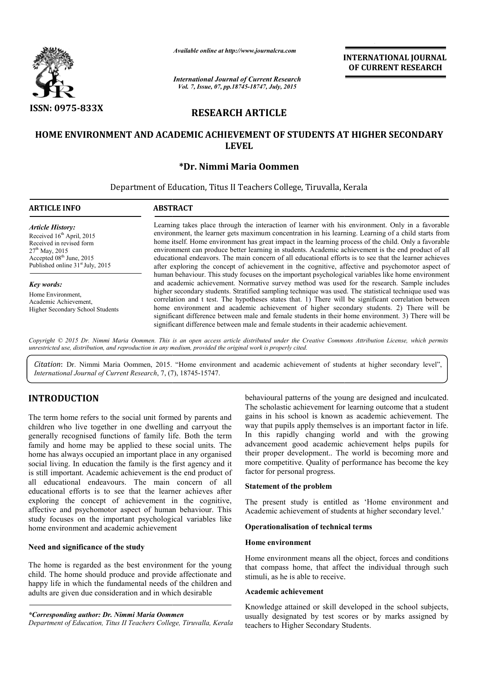

*Available online at http://www.journalcra.com*

*International Journal of Current Research Vol. 7, Issue, 07, pp.18745-18747, July, 2015*

INTERNATIONAL INTERNATIONAL JOURNAL OF CURRENT RESEARCH

# RESEARCH ARTICLE

# HOME ENVIRONMENT AND ACADEMIC ACHIEVEMENT OF STUDENTS AT HIGHER SECONDARY LEVEL

# \*Dr. Nimmi Maria Oommen

Department of Education, Titus II Teachers College, Tiruvalla, Kerala

# ARTICLE INFO ABSTRACT Learning takes place through the interaction of learner with his environment. Only in a favorable environment, the learner gets maximum concentration in his learning. Learning of a child starts from home itself. Home environment has great impact in the learning process of the child. Only a favorable environment can produce better learning in students. Academic achievement is the end product of all educational endeavors. The main concern of all educational efforts is to see that the learner achieves after exploring the concept of achievement in the cognitive, affective and psychomotor aspect of human behaviour. This study focuses on the important psychological variables like home environment and academic achievement. Normative survey method was used for the research. Sample includes higher secondary students. Stratified sampling technique was used. The statistical technique used was correlation and t test. The hypotheses states that. 1) There will be significant correlation between home environment and academic achievement of higher secondary students. 2) There will be higher secondary students. Stratified sampling technique was used. The statistical technique used was correlation and t test. The hypotheses states that. 1) There will be significant correlation between home environment an significant difference between male and female students in their academic achievement. *Article History:* Received 16<sup>th</sup> April, 2015 Received in revised form  $27<sup>th</sup>$  May, 2015 Accepted 08<sup>th</sup> June, 2015 Published online 31<sup>st</sup> July, 2015 *Key words:* Home Environment, Academic Achievement, Higher Secondary School Students 1 g takes place through the interaction of learner with his environment. Only in a favorable ment, the learner gets maximum concentration in his learning. Learning of a child starts from self. Home environment has great impa **INTERNATIONAL JOURNAL COVERENT RESEARCH**<br> **OF CURRENT RESEARCH**<br> **CLEE**<br> **CLEE**<br> **COVERIGNATION CONDITY SAT HIGHER SECONDARY**<br> **COVERIGNATION CONDITY**<br> **COVERIGNATION CONDITY**<br> **COVERIGNATION**<br> **COVERIGNATION CONDITY**<br>

*Copyright © 2015 Dr. Nimmi Maria Oommen. This is an open access article distributed under the Creative Commons Att Attribution License, which permits unrestricted use, distribution, and reproduction in any medium, provided the original work is properly cited.*

Citation: Dr. Nimmi Maria Oommen, 2015. "Home environment and academic achievement of students at higher secondary level", *International Journal of Current Research*, 7, (7), 18745-15747.

# INTRODUCTION

The term home refers to the social unit formed by parents and children who live together in one dwelling and carryout the generally recognised functions of family life. Both the term family and home may be applied to these social units. The home has always occupied an important place in any organised social living. In education the family is the first agency and it is still important. Academic achievement is the end product of all educational endeavours. The main concern of all educational efforts is to see that the learner achieves after exploring the concept of achievement in the cognitive, home has always occupied an important place in any organised social living. In education the family is the first agency and it is still important. Academic achievement is the end product of all educational endeavours. The study focuses on the important psychological variables like home environment and academic achievement

#### Need and significance of the study

The home is regarded as the best environment for the young child. The home should produce and provide affectionate and happy life in which the fundamental needs of the children and adults are given due consideration and in which desirable

#### *\*Corresponding author: Dr. Nimmi Maria Oommen*

*Department of Education, Titus II Teachers College, Tiruvalla, Kerala*

behavioural patterns of the young are designed and inculcated.<br>
The scholastic achievement for learning outcome that a student<br>
g and carryout the way that pupils apply themselves is an important factor in life.<br>
Fig. Both The scholastic achievement for learning outcome that a student gains in his school is known as academic achievement. The way that pupils apply themselves is an important factor in life. In this rapidly changing world and with the growing advancement good academic achievement helps pupils for their proper development.. The world is becoming more and more competitive. Quality of performance has become the key factor for personal progress. scholastic achievement for learning outcome that a student<br>is in his school is known as academic achievement. The<br>that pupils apply themselves is an important factor in life.<br>his rapidly changing world and with the growing

#### Statement of the problem

The present study is entitled as 'Home environment and Academic achievement of students at higher secondary level.'

#### Operationalisation of technical terms

#### Home environment

Home environment means all the object, forces and conditions that compass home, that affect the individual through such stimuli, as he is able to receive.

#### Academic achievement

Knowledge attained or skill developed in the school subjects, usually designated by test scores or by marks assigned by teachers to Higher Secondary Students.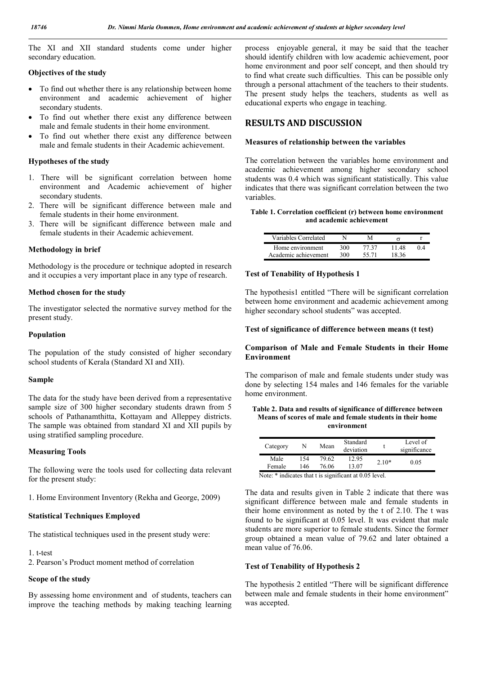The XI and XII standard students come under higher secondary education.

#### Objectives of the study

- To find out whether there is any relationship between home environment and academic achievement of higher secondary students.
- To find out whether there exist any difference between male and female students in their home environment.
- To find out whether there exist any difference between male and female students in their Academic achievement.

#### Hypotheses of the study

- 1. There will be significant correlation between home environment and Academic achievement of higher secondary students.
- 2. There will be significant difference between male and female students in their home environment.
- 3. There will be significant difference between male and female students in their Academic achievement.

#### Methodology in brief

Methodology is the procedure or technique adopted in research and it occupies a very important place in any type of research.

#### Method chosen for the study

The investigator selected the normative survey method for the present study.

#### Population

The population of the study consisted of higher secondary school students of Kerala (Standard XI and XII).

#### Sample

The data for the study have been derived from a representative sample size of 300 higher secondary students drawn from 5 schools of Pathanamthitta, Kottayam and Alleppey districts. The sample was obtained from standard XI and XII pupils by using stratified sampling procedure.

#### Measuring Tools

The following were the tools used for collecting data relevant for the present study:

1. Home Environment Inventory (Rekha and George, 2009)

#### Statistical Techniques Employed

The statistical techniques used in the present study were:

#### 1. t-test

2. Pearson's Product moment method of correlation

#### Scope of the study

By assessing home environment and of students, teachers can improve the teaching methods by making teaching learning process enjoyable general, it may be said that the teacher should identify children with low academic achievement, poor home environment and poor self concept, and then should try to find what create such difficulties. This can be possible only through a personal attachment of the teachers to their students. The present study helps the teachers, students as well as educational experts who engage in teaching.

# RESULTS AND DISCUSSION

#### Measures of relationship between the variables

The correlation between the variables home environment and academic achievement among higher secondary school students was 0.4 which was significant statistically. This value indicates that there was significant correlation between the two variables.

#### Table 1. Correlation coefficient (r) between home environment and academic achievement

| Variables Correlated |      |       |       |  |
|----------------------|------|-------|-------|--|
| Home environment     | 300. | 77 37 | 11 48 |  |
| Academic achievement | 300. | 55.71 | 18 36 |  |

#### Test of Tenability of Hypothesis 1

The hypothesis1 entitled "There will be significant correlation between home environment and academic achievement among higher secondary school students" was accepted.

#### Test of significance of difference between means (t test)

#### Comparison of Male and Female Students in their Home Environment

The comparison of male and female students under study was done by selecting 154 males and 146 females for the variable home environment.

#### Table 2. Data and results of significance of difference between Means of scores of male and female students in their home environment

| Category                                               | N   | Mean  | Standard<br>deviation |         | Level of<br>significance |  |  |  |
|--------------------------------------------------------|-----|-------|-----------------------|---------|--------------------------|--|--|--|
| Male                                                   | 154 | 79.62 | 12.95                 | $2.10*$ |                          |  |  |  |
| Female                                                 | 146 | 76.06 | 13.07                 |         | 0.05                     |  |  |  |
| Note: * indicates that t is significant at 0.05 level. |     |       |                       |         |                          |  |  |  |

The data and results given in Table 2 indicate that there was significant difference between male and female students in their home environment as noted by the t of 2.10. The t was found to be significant at 0.05 level. It was evident that male students are more superior to female students. Since the former group obtained a mean value of 79.62 and later obtained a mean value of 76.06.

#### Test of Tenability of Hypothesis 2

The hypothesis 2 entitled "There will be significant difference between male and female students in their home environment" was accepted.